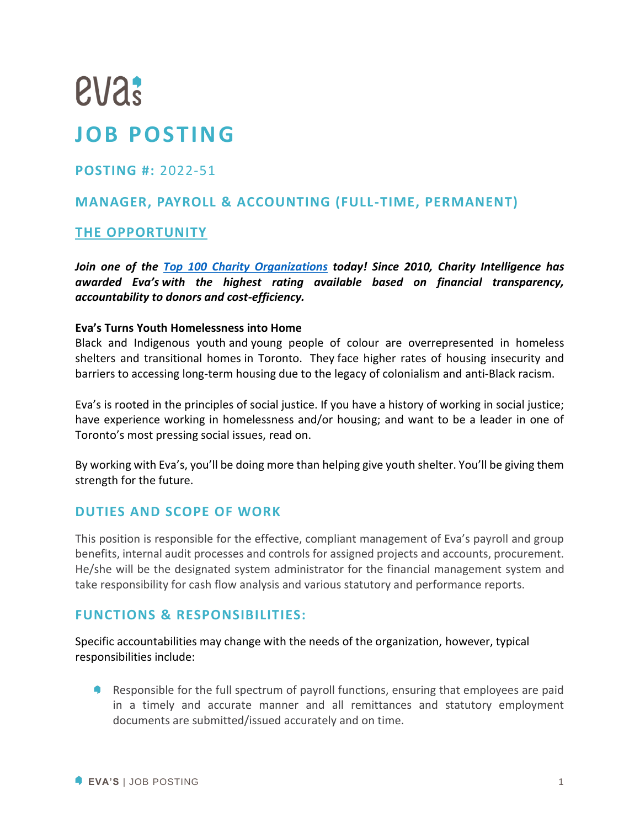# **eva? JOB POSTING**

# **POSTING #:** 2022-51

# **MANAGER, PAYROLL & ACCOUNTING (FULL-TIME, PERMANENT)**

# **THE OPPORTUNITY**

*Join one of the [Top 100 Charity Organizations](https://www.charityintelligence.ca/charity-details/158-eva-s-initiatives) today! Since 2010, Charity Intelligence has awarded Eva's with the highest rating available based on financial transparency, accountability to donors and cost-efficiency.*

#### **Eva's Turns Youth Homelessness into Home**

Black and Indigenous youth and young people of colour are overrepresented in homeless shelters and transitional homes in Toronto. They face higher rates of housing insecurity and barriers to accessing long-term housing due to the legacy of colonialism and anti-Black racism.

Eva's is rooted in the principles of social justice. If you have a history of working in social justice; have experience working in homelessness and/or housing; and want to be a leader in one of Toronto's most pressing social issues, read on.

By working with Eva's, you'll be doing more than helping give youth shelter. You'll be giving them strength for the future.

#### **DUTIES AND SCOPE OF WORK**

This position is responsible for the effective, compliant management of Eva's payroll and group benefits, internal audit processes and controls for assigned projects and accounts, procurement. He/she will be the designated system administrator for the financial management system and take responsibility for cash flow analysis and various statutory and performance reports.

#### **FUNCTIONS & RESPONSIBILITIES:**

Specific accountabilities may change with the needs of the organization, however, typical responsibilities include:

Responsible for the full spectrum of payroll functions, ensuring that employees are paid in a timely and accurate manner and all remittances and statutory employment documents are submitted/issued accurately and on time.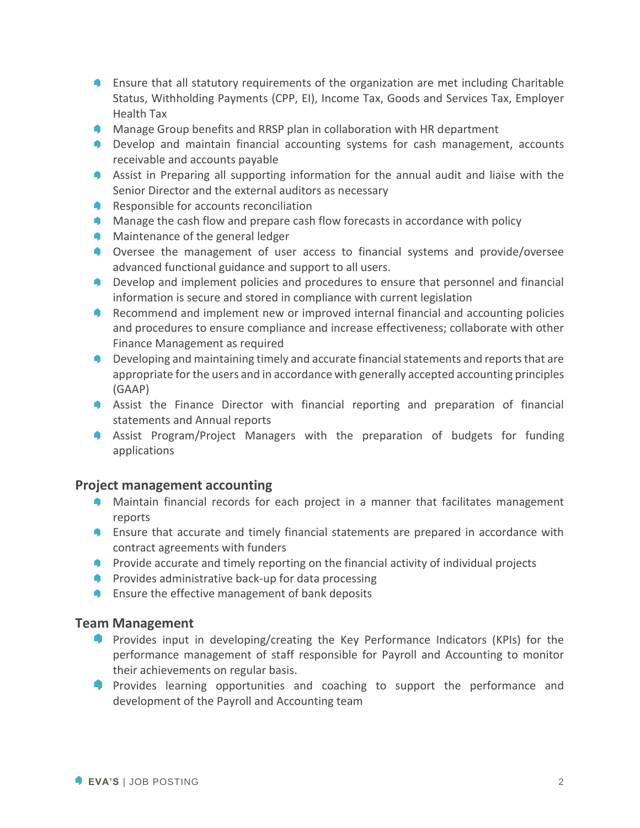- **E** Ensure that all statutory requirements of the organization are met including Charitable Status, Withholding Payments (CPP, EI), Income Tax, Goods and Services Tax, Employer Health Tax
- **Manage Group benefits and RRSP plan in collaboration with HR department**
- **Develop and maintain financial accounting systems for cash management, accounts** receivable and accounts payable
- Assist in Preparing all supporting information for the annual audit and liaise with the Senior Director and the external auditors as necessary
- **Responsible for accounts reconciliation**
- **Manage the cash flow and prepare cash flow forecasts in accordance with policy**
- **Maintenance of the general ledger**
- **Oversee the management of user access to financial systems and provide/oversee** advanced functional guidance and support to all users.
- **P** Develop and implement policies and procedures to ensure that personnel and financial information is secure and stored in compliance with current legislation
- **Recommend and implement new or improved internal financial and accounting policies** and procedures to ensure compliance and increase effectiveness; collaborate with other Finance Management as required
- **Developing and maintaining timely and accurate financial statements and reports that are** appropriate for the users and in accordance with generally accepted accounting principles (GAAP)
- Assist the Finance Director with financial reporting and preparation of financial statements and Annual reports
- **A Assist Program/Project Managers with the preparation of budgets for funding** applications

#### **Project management accounting**

- **Maintain financial records for each project in a manner that facilitates management** reports
- **E** Ensure that accurate and timely financial statements are prepared in accordance with contract agreements with funders
- **P** Provide accurate and timely reporting on the financial activity of individual projects
- **P** Provides administrative back-up for data processing
- **Ensure the effective management of bank deposits**

#### **Team Management**

- **Provides input in developing/creating the Key Performance Indicators (KPIs) for the** performance management of staff responsible for Payroll and Accounting to monitor their achievements on regular basis.
- **Provides learning opportunities and coaching to support the performance and** development of the Payroll and Accounting team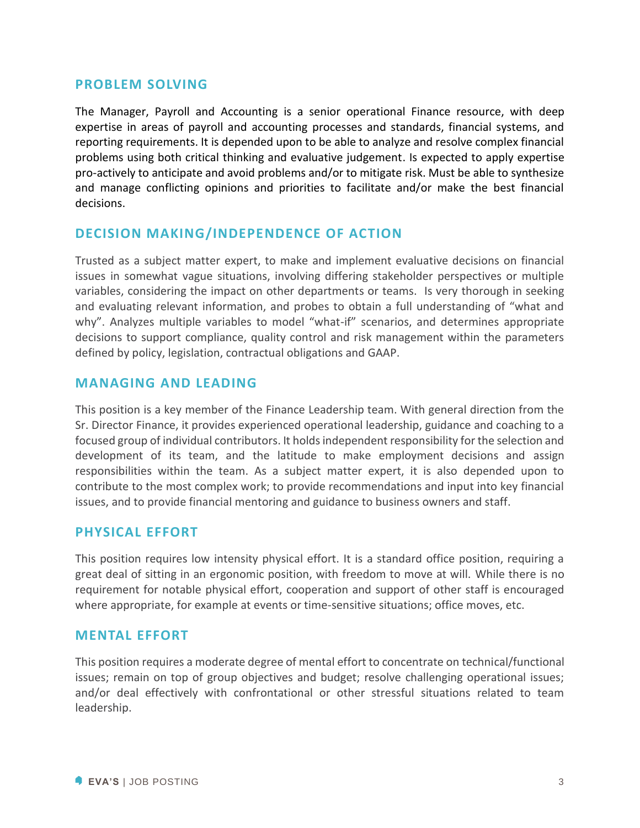#### **PROBLEM SOLVING**

The Manager, Payroll and Accounting is a senior operational Finance resource, with deep expertise in areas of payroll and accounting processes and standards, financial systems, and reporting requirements. It is depended upon to be able to analyze and resolve complex financial problems using both critical thinking and evaluative judgement. Is expected to apply expertise pro-actively to anticipate and avoid problems and/or to mitigate risk. Must be able to synthesize and manage conflicting opinions and priorities to facilitate and/or make the best financial decisions.

## **DECISION MAKING/INDEPENDENCE OF ACTION**

Trusted as a subject matter expert, to make and implement evaluative decisions on financial issues in somewhat vague situations, involving differing stakeholder perspectives or multiple variables, considering the impact on other departments or teams. Is very thorough in seeking and evaluating relevant information, and probes to obtain a full understanding of "what and why". Analyzes multiple variables to model "what-if" scenarios, and determines appropriate decisions to support compliance, quality control and risk management within the parameters defined by policy, legislation, contractual obligations and GAAP.

#### **MANAGING AND LEADING**

This position is a key member of the Finance Leadership team. With general direction from the Sr. Director Finance, it provides experienced operational leadership, guidance and coaching to a focused group of individual contributors. It holds independent responsibility for the selection and development of its team, and the latitude to make employment decisions and assign responsibilities within the team. As a subject matter expert, it is also depended upon to contribute to the most complex work; to provide recommendations and input into key financial issues, and to provide financial mentoring and guidance to business owners and staff.

#### **PHYSICAL EFFORT**

This position requires low intensity physical effort. It is a standard office position, requiring a great deal of sitting in an ergonomic position, with freedom to move at will. While there is no requirement for notable physical effort, cooperation and support of other staff is encouraged where appropriate, for example at events or time-sensitive situations; office moves, etc.

#### **MENTAL EFFORT**

This position requires a moderate degree of mental effort to concentrate on technical/functional issues; remain on top of group objectives and budget; resolve challenging operational issues; and/or deal effectively with confrontational or other stressful situations related to team leadership.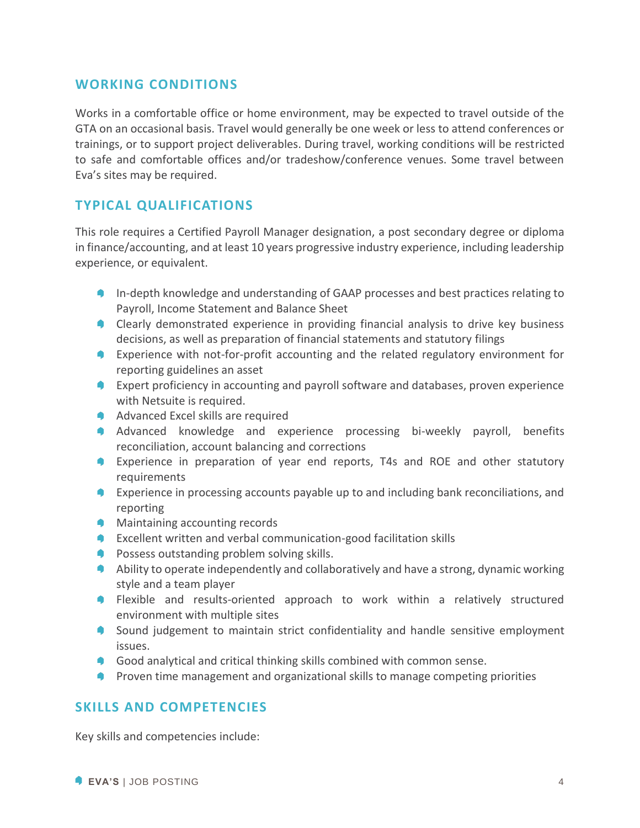## **WORKING CONDITIONS**

Works in a comfortable office or home environment, may be expected to travel outside of the GTA on an occasional basis. Travel would generally be one week or less to attend conferences or trainings, or to support project deliverables. During travel, working conditions will be restricted to safe and comfortable offices and/or tradeshow/conference venues. Some travel between Eva's sites may be required.

# **TYPICAL QUALIFICATIONS**

This role requires a Certified Payroll Manager designation, a post secondary degree or diploma in finance/accounting, and at least 10 years progressive industry experience, including leadership experience, or equivalent.

- **In-depth knowledge and understanding of GAAP processes and best practices relating to** Payroll, Income Statement and Balance Sheet
- Clearly demonstrated experience in providing financial analysis to drive key business decisions, as well as preparation of financial statements and statutory filings
- **Experience with not-for-profit accounting and the related regulatory environment for** reporting guidelines an asset
- **Expert proficiency in accounting and payroll software and databases, proven experience** with Netsuite is required.
- **Advanced Excel skills are required**
- A Advanced knowledge and experience processing bi-weekly payroll, benefits reconciliation, account balancing and corrections
- Experience in preparation of year end reports, T4s and ROE and other statutory requirements
- **Experience in processing accounts payable up to and including bank reconciliations, and** reporting
- **Maintaining accounting records**
- **Excellent written and verbal communication-good facilitation skills**
- **Possess outstanding problem solving skills.**
- Ability to operate independently and collaboratively and have a strong, dynamic working style and a team player
- **P** Flexible and results-oriented approach to work within a relatively structured environment with multiple sites
- **Sound judgement to maintain strict confidentiality and handle sensitive employment** issues.
- **Good analytical and critical thinking skills combined with common sense.**
- **Proven time management and organizational skills to manage competing priorities**

## **SKILLS AND COMPETENCIES**

Key skills and competencies include: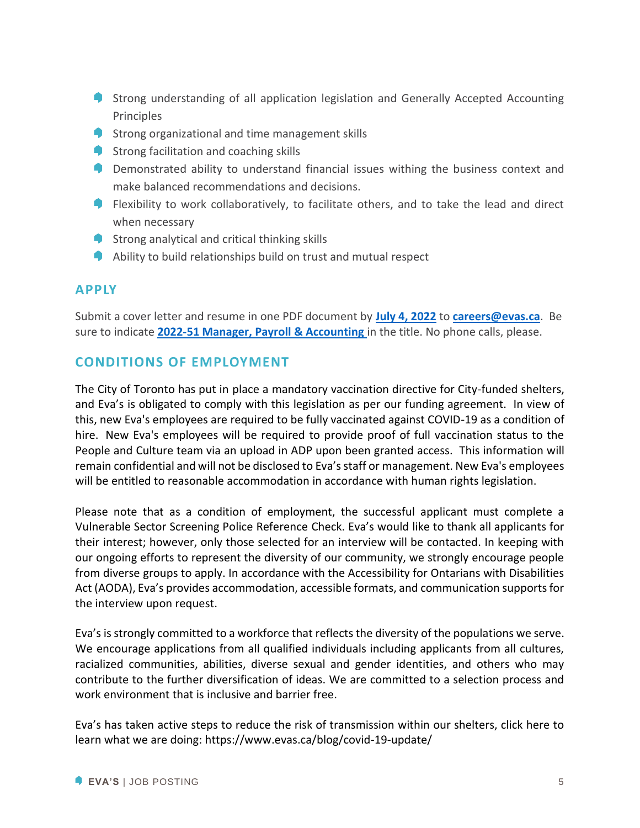- **Strong understanding of all application legislation and Generally Accepted Accounting** Principles
- **Strong organizational and time management skills**
- Strong facilitation and coaching skills
- **P** Demonstrated ability to understand financial issues withing the business context and make balanced recommendations and decisions.
- **P** Flexibility to work collaboratively, to facilitate others, and to take the lead and direct when necessary
- **Strong analytical and critical thinking skills**
- $\bullet$  Ability to build relationships build on trust and mutual respect

#### **APPLY**

Submit a cover letter and resume in one PDF document by **July 4, 2022** to **[careers@evas.ca](mailto:careers@evas.ca)**. Be sure to indicate **2022-51 Manager, Payroll & Accounting** in the title. No phone calls, please.

#### **CONDITIONS OF EMPLOYMENT**

The City of Toronto has put in place a mandatory vaccination directive for City-funded shelters, and Eva's is obligated to comply with this legislation as per our funding agreement. In view of this, new Eva's employees are required to be fully vaccinated against COVID-19 as a condition of hire. New Eva's employees will be required to provide proof of full vaccination status to the People and Culture team via an upload in ADP upon been granted access. This information will remain confidential and will not be disclosed to Eva's staff or management. New Eva's employees will be entitled to reasonable accommodation in accordance with human rights legislation.

Please note that as a condition of employment, the successful applicant must complete a Vulnerable Sector Screening Police Reference Check. Eva's would like to thank all applicants for their interest; however, only those selected for an interview will be contacted. In keeping with our ongoing efforts to represent the diversity of our community, we strongly encourage people from diverse groups to apply. In accordance with the Accessibility for Ontarians with Disabilities Act (AODA), Eva's provides accommodation, accessible formats, and communication supports for the interview upon request.

Eva's is strongly committed to a workforce that reflects the diversity of the populations we serve. We encourage applications from all qualified individuals including applicants from all cultures, racialized communities, abilities, diverse sexual and gender identities, and others who may contribute to the further diversification of ideas. We are committed to a selection process and work environment that is inclusive and barrier free.

Eva's has taken active steps to reduce the risk of transmission within our shelters, click here to learn what we are doing:<https://www.evas.ca/blog/covid-19-update/>